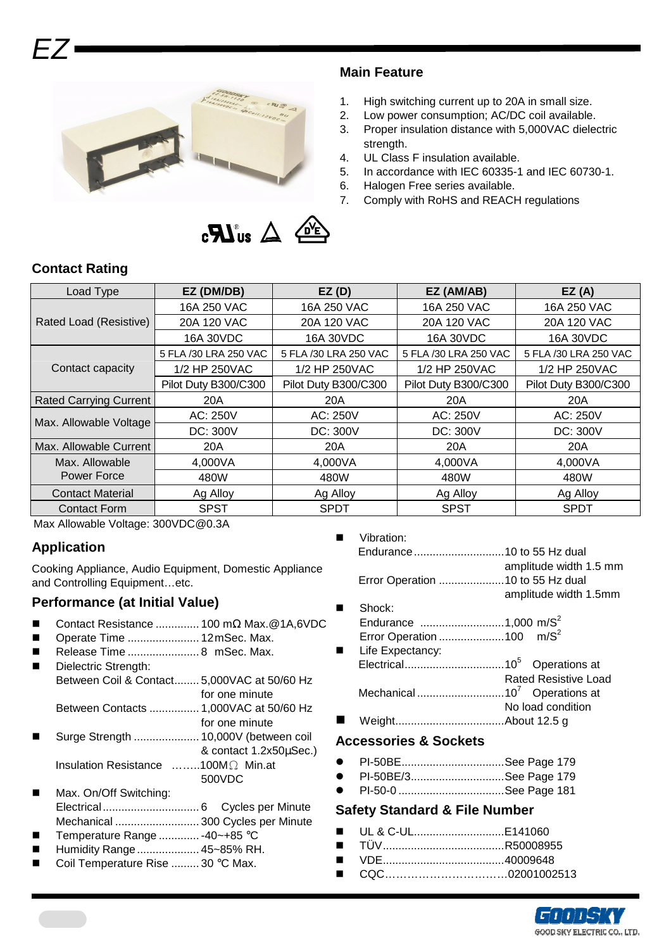

### **Main Feature**

- 1. High switching current up to 20A in small size.
- 2. Low power consumption; AC/DC coil available.
- 3. Proper insulation distance with 5,000VAC dielectric strength.
- 4. UL Class F insulation available.
- 5. In accordance with IEC 60335-1 and IEC 60730-1.
- 6. Halogen Free series available.
- 7. Comply with RoHS and REACH regulations



# **Contact Rating**

EZ

| Load Type                     | EZ (DM/DB)            | EZ(D)                 | EZ (AM/AB)            | EZ(A)                 |  |
|-------------------------------|-----------------------|-----------------------|-----------------------|-----------------------|--|
|                               | 16A 250 VAC           | 16A 250 VAC           | 16A 250 VAC           | 16A 250 VAC           |  |
| Rated Load (Resistive)        | 20A 120 VAC           | 20A 120 VAC           | 20A 120 VAC           | 20A 120 VAC           |  |
|                               | 16A 30VDC             | 16A 30VDC             | 16A 30VDC             | 16A 30VDC             |  |
|                               | 5 FLA /30 LRA 250 VAC | 5 FLA /30 LRA 250 VAC | 5 FLA /30 LRA 250 VAC | 5 FLA /30 LRA 250 VAC |  |
| Contact capacity              | 1/2 HP 250VAC         | 1/2 HP 250VAC         | 1/2 HP 250VAC         | 1/2 HP 250VAC         |  |
|                               | Pilot Duty B300/C300  | Pilot Duty B300/C300  | Pilot Duty B300/C300  | Pilot Duty B300/C300  |  |
| <b>Rated Carrying Current</b> | 20A                   | 20A                   | 20A                   | 20A                   |  |
| Max. Allowable Voltage        | AC: 250V              | AC: 250V              | AC: 250V              | AC: 250V              |  |
|                               | DC: 300V              | DC: 300V              | DC: 300V              | DC: 300V              |  |
| Max. Allowable Current        | 20A                   | 20A                   | 20A                   | 20A                   |  |
| Max. Allowable                | 4,000VA               | 4,000VA               | 4,000VA               | 4,000VA               |  |
| Power Force                   | 480W                  | 480W                  | 480W                  | 480W                  |  |
| <b>Contact Material</b>       | Ag Alloy              | Ag Alloy              | Ag Alloy              | Ag Alloy              |  |
| <b>Contact Form</b>           | <b>SPST</b>           | <b>SPDT</b>           | <b>SPST</b>           | <b>SPDT</b>           |  |

Max Allowable Voltage: 300VDC@0.3A

## **Application**

Cooking Appliance, Audio Equipment, Domestic Appliance and Controlling Equipment...etc.

# **Performance (at Initial Value)**

- Contact Resistance .............. 100 mΩ Max.@1A,6VDC
- Operate Time ....................... 12 mSec. Max.
- Release Time ....................... 8 mSec. Max.
- Dielectric Strength: Between Coil & Contact........ 5,000VAC at 50/60 Hz for one minute
- Between Contacts ................ 1,000VAC at 50/60 Hz for one minute
- Surge Strength ..................... 10,000V (between coil & contact 1.2x50µSec.) Insulation Resistance ……..100MΩ Min.at 500VDC
- Max. On/Off Switching: Electrical............................... 6 Cycles per Minute Mechanical ........................... 300 Cycles per Minute Temperature Range ............. -40~+85 °C
- 
- Humidity Range.................... 45~85% RH.
- Coil Temperature Rise ......... 30 °C Max.

Vibration:

|  | amplitude width 1.5 mm |  |  |  |  |  |
|--|------------------------|--|--|--|--|--|
|  |                        |  |  |  |  |  |
|  | amplitude width 1.5mm  |  |  |  |  |  |

- Shock:
- Endurance .............................1,000 m/S<sup>2</sup> Error Operation ............................100 m/S<sup>2</sup>
- **Life Expectancy:** Electrical................................10<sup>5</sup> Operations at Rated Resistive Load Mechanical ............................10<sup>7</sup> Operations at No load condition Weight...................................About 12.5 g

#### **Accessories & Sockets**

- PI-50BE.................................See Page 179
- PI-50BE/3..............................See Page 179
- PI-50-0 ..................................See Page 181

#### **Safety Standard & File Number**

- UL & C-UL.............................E141060
- TÜV.......................................R50008955
- VDE.......................................40009648
- CQC……………………………02001002513

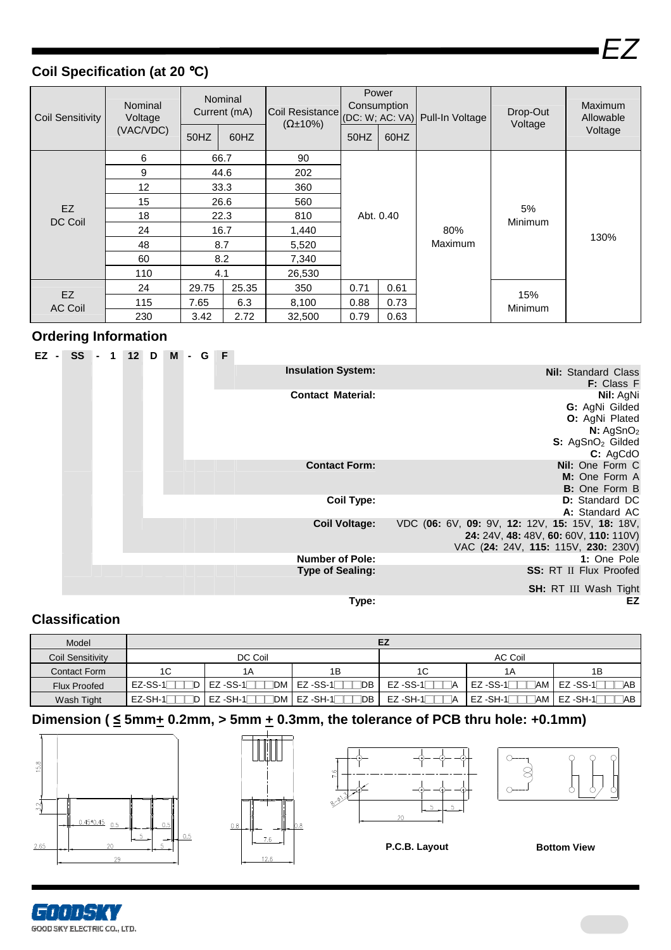$\boldsymbol{-}$ 

# **Coil Specification (at 20** °**C)**

| <b>Coil Sensitivity</b> | Nominal<br>Voltage | Nominal<br>Current (mA) |       | Coil Resistance<br>$(\Omega \pm 10\%)$ | Power<br>Consumption<br>(DC: W; AC: VA) |                | Pull-In Voltage | Drop-Out<br>Voltage | Maximum<br>Allowable |
|-------------------------|--------------------|-------------------------|-------|----------------------------------------|-----------------------------------------|----------------|-----------------|---------------------|----------------------|
|                         | (VAC/VDC)          | 50HZ                    | 60HZ  |                                        | 50HZ                                    | 60HZ           |                 |                     | Voltage              |
| EZ<br>DC Coil           | 6                  | 66.7                    |       | 90                                     | Abt. 0.40                               |                |                 | 5%<br>Minimum       |                      |
|                         | 9                  | 44.6                    |       | 202                                    |                                         |                |                 |                     |                      |
|                         | 12                 | 33.3                    |       | 360                                    |                                         |                |                 |                     |                      |
|                         | 15                 | 26.6                    |       | 560                                    |                                         |                |                 |                     |                      |
|                         | 18                 | 22.3                    |       | 810                                    |                                         |                |                 |                     |                      |
|                         | 24                 | 16.7                    |       | 1,440                                  |                                         | 80%            |                 | 130%                |                      |
|                         | 48                 |                         | 8.7   | 5,520                                  |                                         | <b>Maximum</b> |                 |                     |                      |
|                         | 60                 | 8.2                     |       | 7,340                                  |                                         |                |                 |                     |                      |
|                         | 110                | 4.1                     |       | 26,530                                 |                                         |                |                 |                     |                      |
| EZ<br><b>AC Coil</b>    | 24                 | 29.75                   | 25.35 | 350                                    | 0.71                                    | 0.61           |                 | 15%                 |                      |
|                         | 115                | 7.65                    | 6.3   | 8,100                                  | 0.88                                    | 0.73           |                 | Minimum             |                      |
|                         | 230                | 3.42                    | 2.72  | 32,500                                 | 0.79                                    | 0.63           |                 |                     |                      |

## **Ordering Information**

|                                                 |                           | <b>M - G F</b> |  | $12$ D | $SS - 1$ | EZ - |
|-------------------------------------------------|---------------------------|----------------|--|--------|----------|------|
| <b>Nil:</b> Standard Class                      | <b>Insulation System:</b> |                |  |        |          |      |
| <b>F:</b> Class F                               |                           |                |  |        |          |      |
| Nil: AgNi                                       | <b>Contact Material:</b>  |                |  |        |          |      |
| G: AgNi Gilded                                  |                           |                |  |        |          |      |
| O: AgNi Plated                                  |                           |                |  |        |          |      |
| N: AgSnO <sub>2</sub>                           |                           |                |  |        |          |      |
| S: AgSnO <sub>2</sub> Gilded                    |                           |                |  |        |          |      |
| C: AgCdO                                        |                           |                |  |        |          |      |
| Nil: One Form C                                 | <b>Contact Form:</b>      |                |  |        |          |      |
| M: One Form A                                   |                           |                |  |        |          |      |
| <b>B:</b> One Form B                            |                           |                |  |        |          |      |
| <b>D:</b> Standard DC                           | <b>Coil Type:</b>         |                |  |        |          |      |
| A: Standard AC                                  |                           |                |  |        |          |      |
| VDC (06: 6V, 09: 9V, 12: 12V, 15: 15V, 18: 18V, | <b>Coil Voltage:</b>      |                |  |        |          |      |
| 24: 24V, 48: 48V, 60: 60V, 110: 110V)           |                           |                |  |        |          |      |
| VAC (24: 24V, 115: 115V, 230: 230V)             |                           |                |  |        |          |      |
| 1: One Pole                                     | <b>Number of Pole:</b>    |                |  |        |          |      |
| <b>SS: RT II Flux Proofed</b>                   | <b>Type of Sealing:</b>   |                |  |        |          |      |
| SH: RT III Wash Tight                           |                           |                |  |        |          |      |
| EZ                                              | Type:                     |                |  |        |          |      |

## **Classification**

| Model                   | ΕZ      |                              |                           |                 |                            |                   |  |  |  |  |  |  |
|-------------------------|---------|------------------------------|---------------------------|-----------------|----------------------------|-------------------|--|--|--|--|--|--|
| <b>Coil Sensitivity</b> |         | DC Coil                      |                           | AC Coil         |                            |                   |  |  |  |  |  |  |
| Contact Form            | 1C      | 1A                           | 1B                        | 1C              | 1 A                        | 1B                |  |  |  |  |  |  |
| <b>Flux Proofed</b>     | EZ-SS-1 | IDM I<br>$EZ$ -SS-1 $\Gamma$ | $EZ$ -SS-1 $\Gamma$<br>DB | $EZ$ -SS-1      | $EZ$ -SS-1 $\Gamma$<br>AM. | $EZ$ -SS-1<br>⊺AB |  |  |  |  |  |  |
| Wash Tight              | EZ-SH-1 | TDM I<br>I EZ -SH-1Γ         | DB<br>EZ -SH-1            | $EZ-SH-1$<br>IΑ | $EZ-SH-1$<br>™ NA          | $EZ-SH-1$<br>⊺AB  |  |  |  |  |  |  |

# Dimension ( $\leq$  5mm $\pm$  0.2mm, > 5mm  $\pm$  0.3mm, the tolerance of PCB thru hole: +0.1mm)